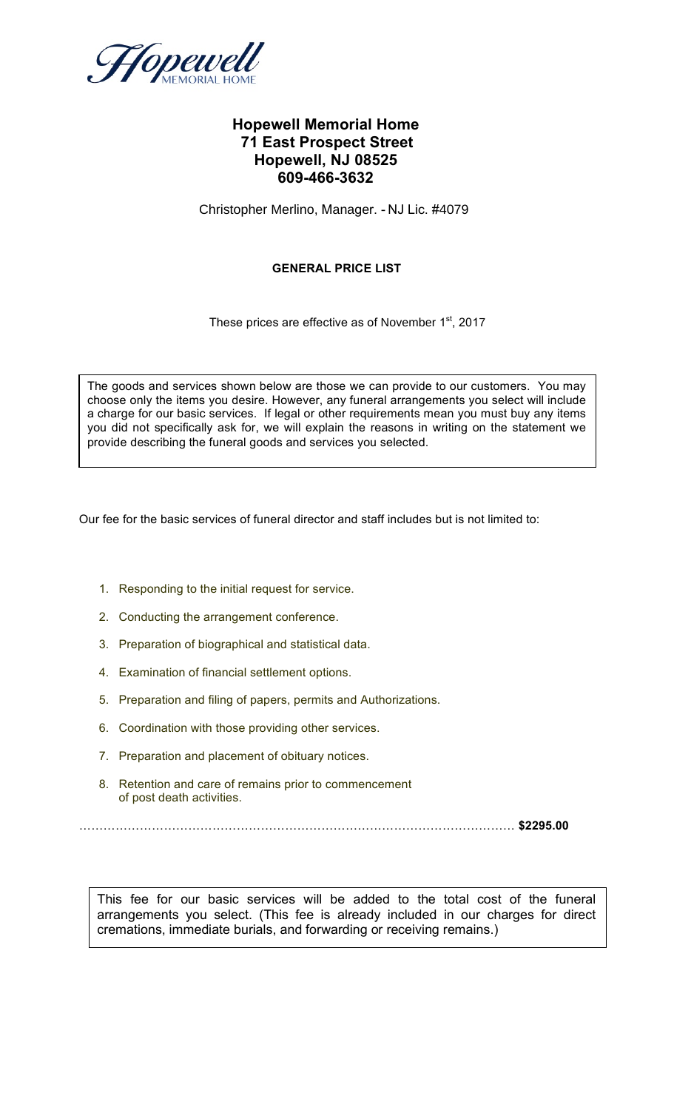

# **Hopewell Memorial Home 71 East Prospect Street Hopewell, NJ 08525 609-466-3632**

Christopher Merlino, Manager. - NJ Lic. #4079

# **GENERAL PRICE LIST**

These prices are effective as of November 1<sup>st</sup>, 2017

provide describing the funeral goods and services you selected. The goods and services shown below are those we can provide to our customers. You may choose only the items you desire. However, any funeral arrangements you select will include a charge for our basic services. If legal or other requirements mean you must buy any items you did not specifically ask for, we will explain the reasons in writing on the statement we

Our fee for the basic services of funeral director and staff includes but is not limited to:

- 1. Responding to the initial request for service.
- 2. Conducting the arrangement conference.
- 3. Preparation of biographical and statistical data.
- 4. Examination of financial settlement options.
- 5. Preparation and filing of papers, permits and Authorizations.
- 6. Coordination with those providing other services.
- 7. Preparation and placement of obituary notices.
- 8. Retention and care of remains prior to commencement of post death activities.

……………………………………………………………………………………………… **\$2295.00**

This fee for our basic services will be added to the total cost of the funeral arrangements you select. (This fee is already included in our charges for direct cremations, immediate burials, and forwarding or receiving remains.)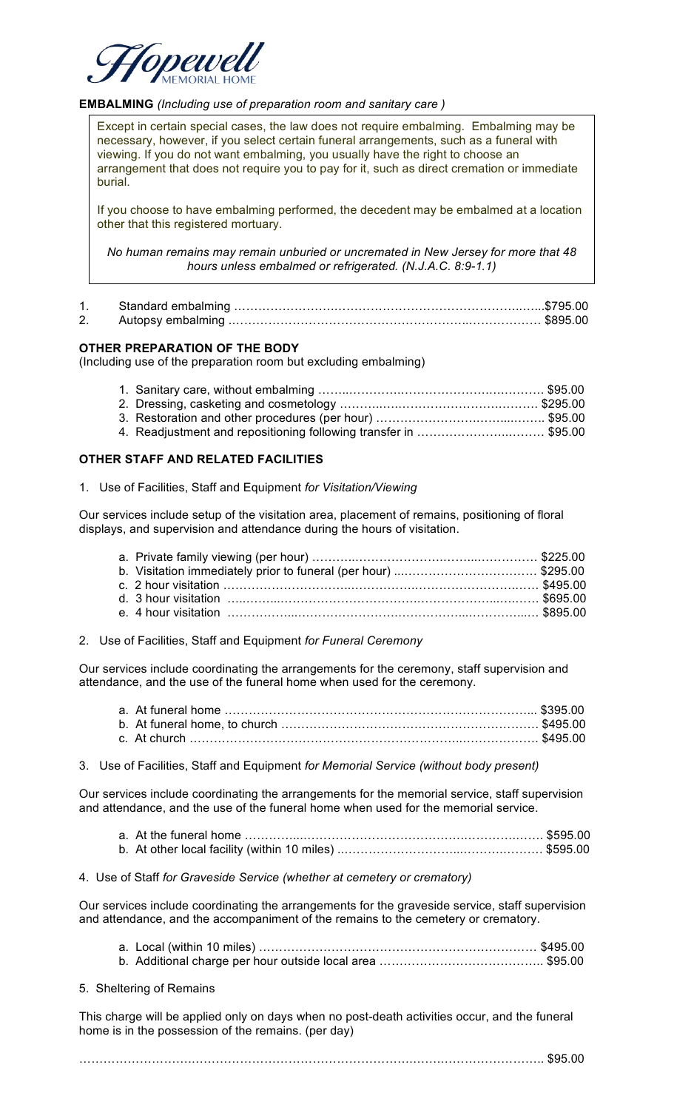

#### **EMBALMING** *(Including use of preparation room and sanitary care )*

Except in certain special cases, the law does not require embalming. Embalming may be necessary, however, if you select certain funeral arrangements, such as a funeral with viewing. If you do not want embalming, you usually have the right to choose an arrangement that does not require you to pay for it, such as direct cremation or immediate burial.

If you choose to have embalming performed, the decedent may be embalmed at a location other that this registered mortuary.

*No human remains may remain unburied or uncremated in New Jersey for more that 48 hours unless embalmed or refrigerated. (N.J.A.C. 8:9-1.1)*

#### **OTHER PREPARATION OF THE BODY**

(Including use of the preparation room but excluding embalming)

| 4. Readjustment and repositioning following transfer in \$95.00 |  |
|-----------------------------------------------------------------|--|

#### **OTHER STAFF AND RELATED FACILITIES**

1. Use of Facilities, Staff and Equipment *for Visitation/Viewing*

Our services include setup of the visitation area, placement of remains, positioning of floral displays, and supervision and attendance during the hours of visitation.

2. Use of Facilities, Staff and Equipment *for Funeral Ceremony*

Our services include coordinating the arrangements for the ceremony, staff supervision and attendance, and the use of the funeral home when used for the ceremony.

3. Use of Facilities, Staff and Equipment *for Memorial Service (without body present)*

Our services include coordinating the arrangements for the memorial service, staff supervision and attendance, and the use of the funeral home when used for the memorial service.

- a. At the funeral home …………...………………………………….………….……. \$595.00 b. At other local facility (within 10 miles) ..………………………...……….………. \$595.00
- 4. Use of Staff *for Graveside Service (whether at cemetery or crematory)*

Our services include coordinating the arrangements for the graveside service, staff supervision and attendance, and the accompaniment of the remains to the cemetery or crematory.

5. Sheltering of Remains

This charge will be applied only on days when no post-death activities occur, and the funeral home is in the possession of the remains. (per day)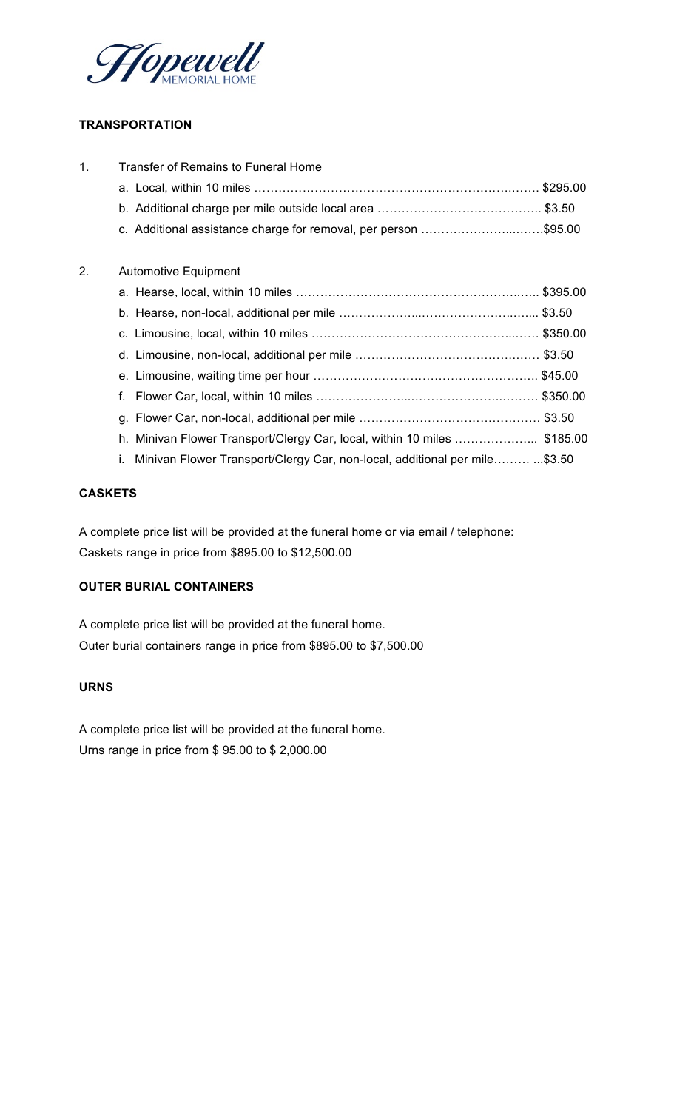

# **TRANSPORTATION**

| 1. | <b>Transfer of Remains to Funeral Home</b>                                      |  |
|----|---------------------------------------------------------------------------------|--|
|    |                                                                                 |  |
|    |                                                                                 |  |
|    | c. Additional assistance charge for removal, per person \$95.00                 |  |
| 2. | <b>Automotive Equipment</b>                                                     |  |
|    |                                                                                 |  |
|    |                                                                                 |  |
|    |                                                                                 |  |
|    |                                                                                 |  |
|    |                                                                                 |  |
|    | f.                                                                              |  |
|    |                                                                                 |  |
|    | h. Minivan Flower Transport/Clergy Car, local, within 10 miles \$185.00         |  |
|    | Minivan Flower Transport/Clergy Car, non-local, additional per mile\$3.50<br>i. |  |

### **CASKETS**

A complete price list will be provided at the funeral home or via email / telephone: Caskets range in price from \$895.00 to \$12,500.00

# **OUTER BURIAL CONTAINERS**

A complete price list will be provided at the funeral home. Outer burial containers range in price from \$895.00 to \$7,500.00

# **URNS**

A complete price list will be provided at the funeral home. Urns range in price from \$ 95.00 to \$ 2,000.00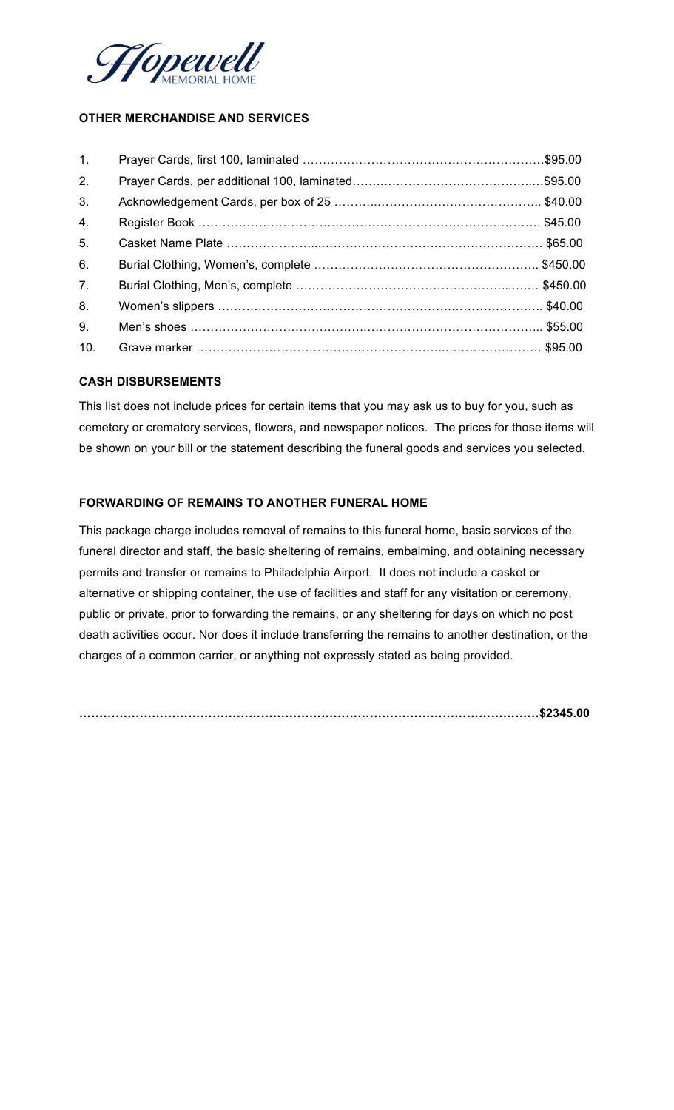

# **OTHER MERCHANDISE AND SERVICES**

### **CASH DISBURSEMENTS**

This list does not include prices for certain items that you may ask us to buy for you, such as cemetery or crematory services, flowers, and newspaper notices. The prices for those items will be shown on your bill or the statement describing the funeral goods and services you selected.

# **FORWARDING OF REMAINS TO ANOTHER FUNERAL HOME**

This package charge includes removal of remains to this funeral home, basic services of the funeral director and staff, the basic sheltering of remains, embalming, and obtaining necessary permits and transfer or remains to Philadelphia Airport. It does not include a casket or alternative or shipping container, the use of facilities and staff for any visitation or ceremony, public or private, prior to forwarding the remains, or any sheltering for days on which no post death activities occur. Nor does it include transferring the remains to another destination, or the charges of a common carrier, or anything not expressly stated as being provided.

**……………………………………………………………………………………………………\$2345.00**